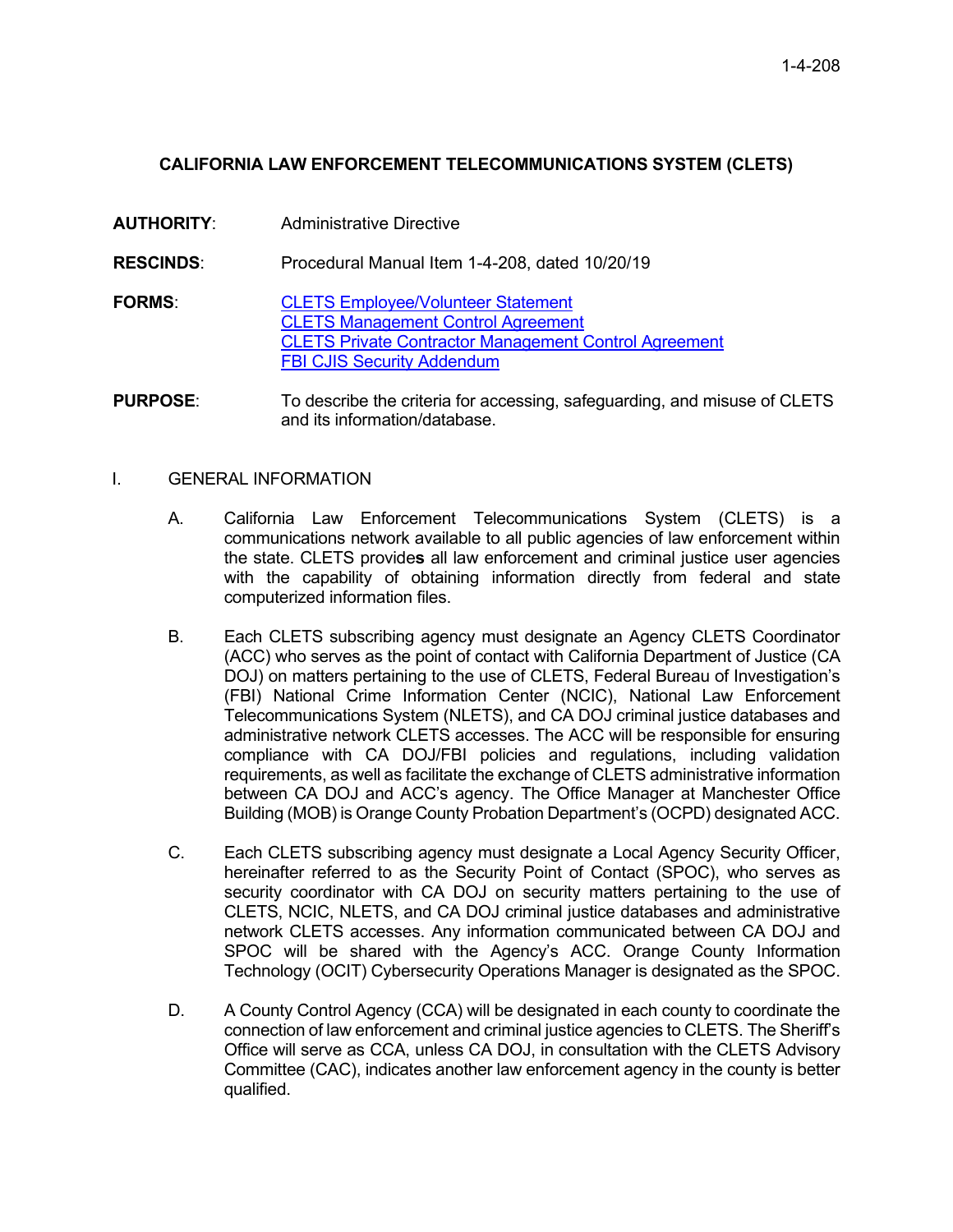## **CALIFORNIA LAW ENFORCEMENT TELECOMMUNICATIONS SYSTEM (CLETS)**

**AUTHORITY**: Administrative Directive **RESCINDS**: Procedural Manual Item 1-4-208, dated 10/20/19 **FORMS**: [CLETS Employee/Volunteer Statement](https://portal.prob.ocgoventerprise.com/Download/ProbNet/Forms_908/CLETS_EmployeeVolunteerStatementForm.pdf) CLETS [Management Control Agreement](https://portal.prob.ocgoventerprise.com/Download/ProbNet/Forms_908/CLETS_Mangement_Control_Agreement_-_HDC_0004A_-_Rev_3-2010.pdf) [CLETS Private Contractor Management Control Agreement](https://portal.prob.ocgoventerprise.com/Download/ProbNet/Forms_908/CLETS_Private_Contractor_Management_Control_Agreement_HDC0004B.pdf) **[FBI CJIS Security Addendum](https://portal.prob.ocgoventerprise.com/Download/ProbNet/Forms_908/FBI_CJIS_Addendum.pdf) PURPOSE:** To describe the criteria for accessing, safeguarding, and misuse of CLETS

and its information/database.

## I. GENERAL INFORMATION

- A. California Law Enforcement Telecommunications System (CLETS) is a communications network available to all public agencies of law enforcement within the state. CLETS provide**s** all law enforcement and criminal justice user agencies with the capability of obtaining information directly from federal and state computerized information files.
- B. Each CLETS subscribing agency must designate an Agency CLETS Coordinator (ACC) who serves as the point of contact with California Department of Justice (CA DOJ) on matters pertaining to the use of CLETS, Federal Bureau of Investigation's (FBI) National Crime Information Center (NCIC), National Law Enforcement Telecommunications System (NLETS), and CA DOJ criminal justice databases and administrative network CLETS accesses. The ACC will be responsible for ensuring compliance with CA DOJ/FBI policies and regulations, including validation requirements, as well as facilitate the exchange of CLETS administrative information between CA DOJ and ACC's agency. The Office Manager at Manchester Office Building (MOB) is Orange County Probation Department's (OCPD) designated ACC.
- C. Each CLETS subscribing agency must designate a Local Agency Security Officer, hereinafter referred to as the Security Point of Contact (SPOC), who serves as security coordinator with CA DOJ on security matters pertaining to the use of CLETS, NCIC, NLETS, and CA DOJ criminal justice databases and administrative network CLETS accesses. Any information communicated between CA DOJ and SPOC will be shared with the Agency's ACC. Orange County Information Technology (OCIT) Cybersecurity Operations Manager is designated as the SPOC.
- D. A County Control Agency (CCA) will be designated in each county to coordinate the connection of law enforcement and criminal justice agencies to CLETS. The Sheriff's Office will serve as CCA, unless CA DOJ, in consultation with the CLETS Advisory Committee (CAC), indicates another law enforcement agency in the county is better qualified.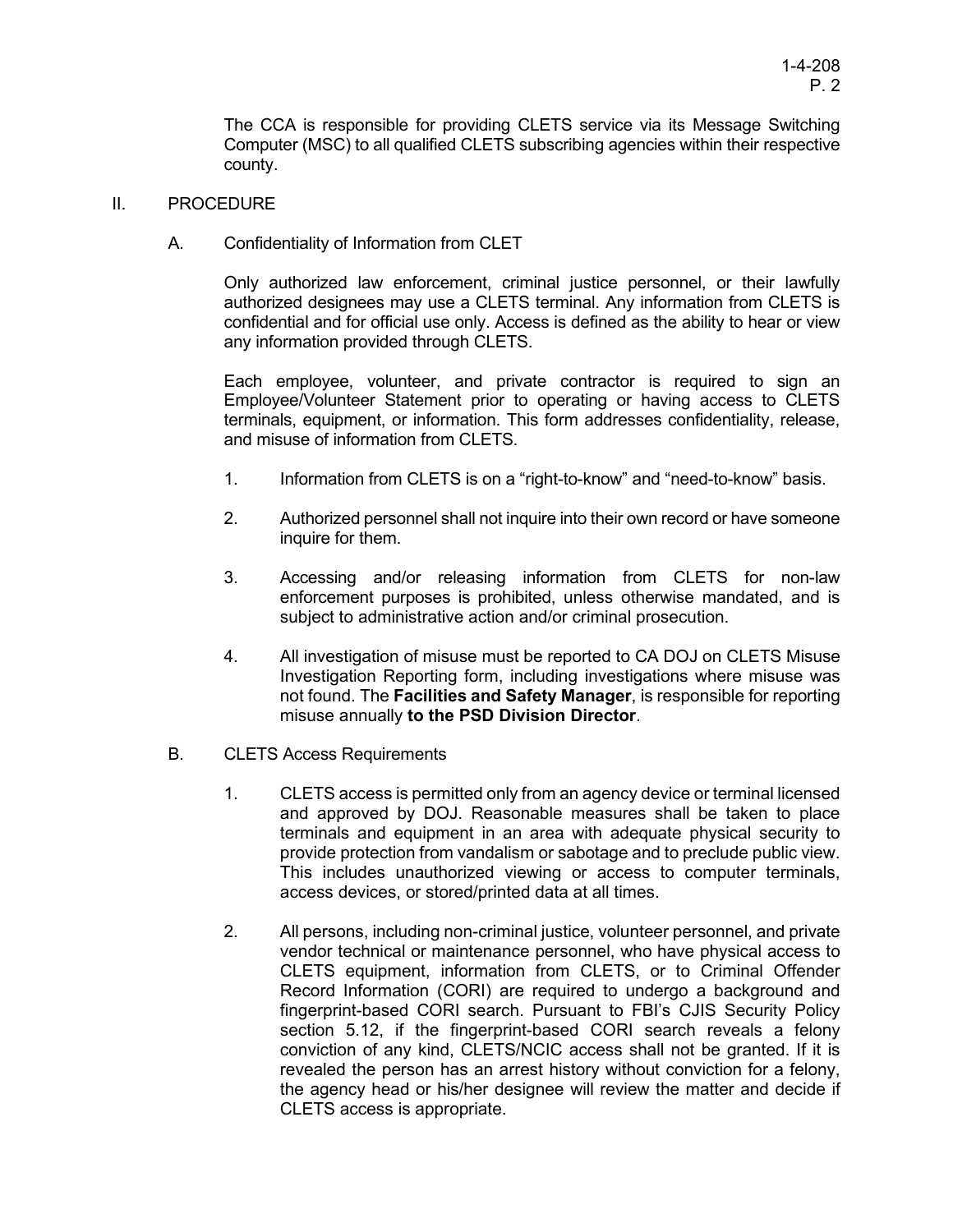The CCA is responsible for providing CLETS service via its Message Switching Computer (MSC) to all qualified CLETS subscribing agencies within their respective county.

## II. PROCEDURE

A. Confidentiality of Information from CLET

Only authorized law enforcement, criminal justice personnel, or their lawfully authorized designees may use a CLETS terminal. Any information from CLETS is confidential and for official use only. Access is defined as the ability to hear or view any information provided through CLETS.

Each employee, volunteer, and private contractor is required to sign an Employee/Volunteer Statement prior to operating or having access to CLETS terminals, equipment, or information. This form addresses confidentiality, release, and misuse of information from CLETS.

- 1. Information from CLETS is on a "right-to-know" and "need-to-know" basis.
- 2. Authorized personnel shall not inquire into their own record or have someone inquire for them.
- 3. Accessing and/or releasing information from CLETS for non-law enforcement purposes is prohibited, unless otherwise mandated, and is subject to administrative action and/or criminal prosecution.
- 4. All investigation of misuse must be reported to CA DOJ on CLETS Misuse Investigation Reporting form, including investigations where misuse was not found. The **Facilities and Safety Manager**, is responsible for reporting misuse annually **to the PSD Division Director**.
- B. CLETS Access Requirements
	- 1. CLETS access is permitted only from an agency device or terminal licensed and approved by DOJ. Reasonable measures shall be taken to place terminals and equipment in an area with adequate physical security to provide protection from vandalism or sabotage and to preclude public view. This includes unauthorized viewing or access to computer terminals, access devices, or stored/printed data at all times.
	- 2. All persons, including non-criminal justice, volunteer personnel, and private vendor technical or maintenance personnel, who have physical access to CLETS equipment, information from CLETS, or to Criminal Offender Record Information (CORI) are required to undergo a background and fingerprint-based CORI search. Pursuant to FBI's CJIS Security Policy section 5.12, if the fingerprint-based CORI search reveals a felony conviction of any kind, CLETS/NCIC access shall not be granted. If it is revealed the person has an arrest history without conviction for a felony, the agency head or his/her designee will review the matter and decide if CLETS access is appropriate.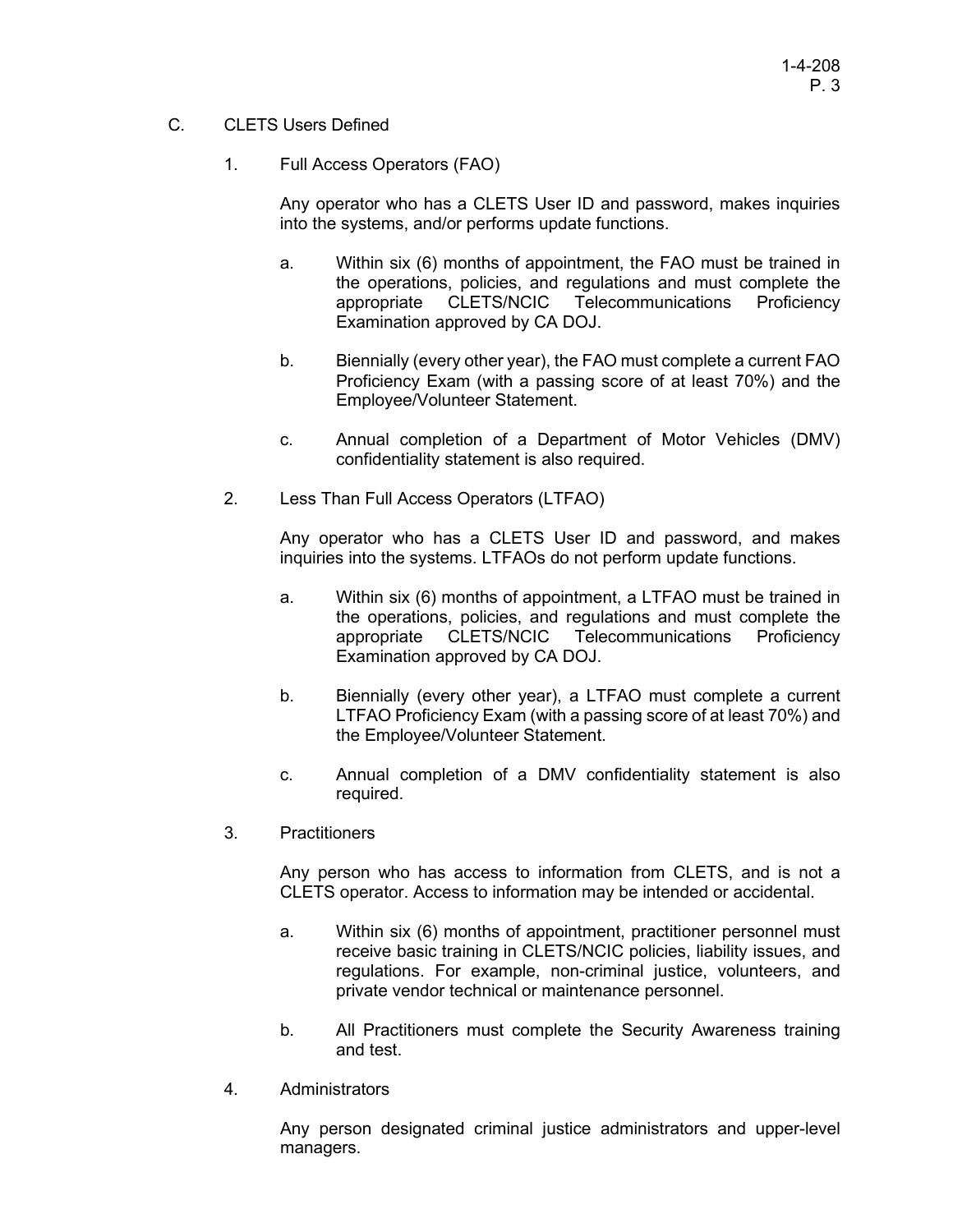- C. CLETS Users Defined
	- 1. Full Access Operators (FAO)

Any operator who has a CLETS User ID and password, makes inquiries into the systems, and/or performs update functions.

- a. Within six (6) months of appointment, the FAO must be trained in the operations, policies, and regulations and must complete the appropriate CLETS/NCIC Telecommunications Proficiency Examination approved by CA DOJ.
- b. Biennially (every other year), the FAO must complete a current FAO Proficiency Exam (with a passing score of at least 70%) and the Employee/Volunteer Statement.
- c. Annual completion of a Department of Motor Vehicles (DMV) confidentiality statement is also required.
- 2. Less Than Full Access Operators (LTFAO)

Any operator who has a CLETS User ID and password, and makes inquiries into the systems. LTFAOs do not perform update functions.

- a. Within six (6) months of appointment, a LTFAO must be trained in the operations, policies, and regulations and must complete the appropriate CLETS/NCIC Telecommunications Proficiency Examination approved by CA DOJ.
- b. Biennially (every other year), a LTFAO must complete a current LTFAO Proficiency Exam (with a passing score of at least 70%) and the Employee/Volunteer Statement.
- c. Annual completion of a DMV confidentiality statement is also required.
- 3. Practitioners

Any person who has access to information from CLETS, and is not a CLETS operator. Access to information may be intended or accidental.

- a. Within six (6) months of appointment, practitioner personnel must receive basic training in CLETS/NCIC policies, liability issues, and regulations. For example, non-criminal justice, volunteers, and private vendor technical or maintenance personnel.
- b. All Practitioners must complete the Security Awareness training and test.
- 4. Administrators

Any person designated criminal justice administrators and upper-level managers.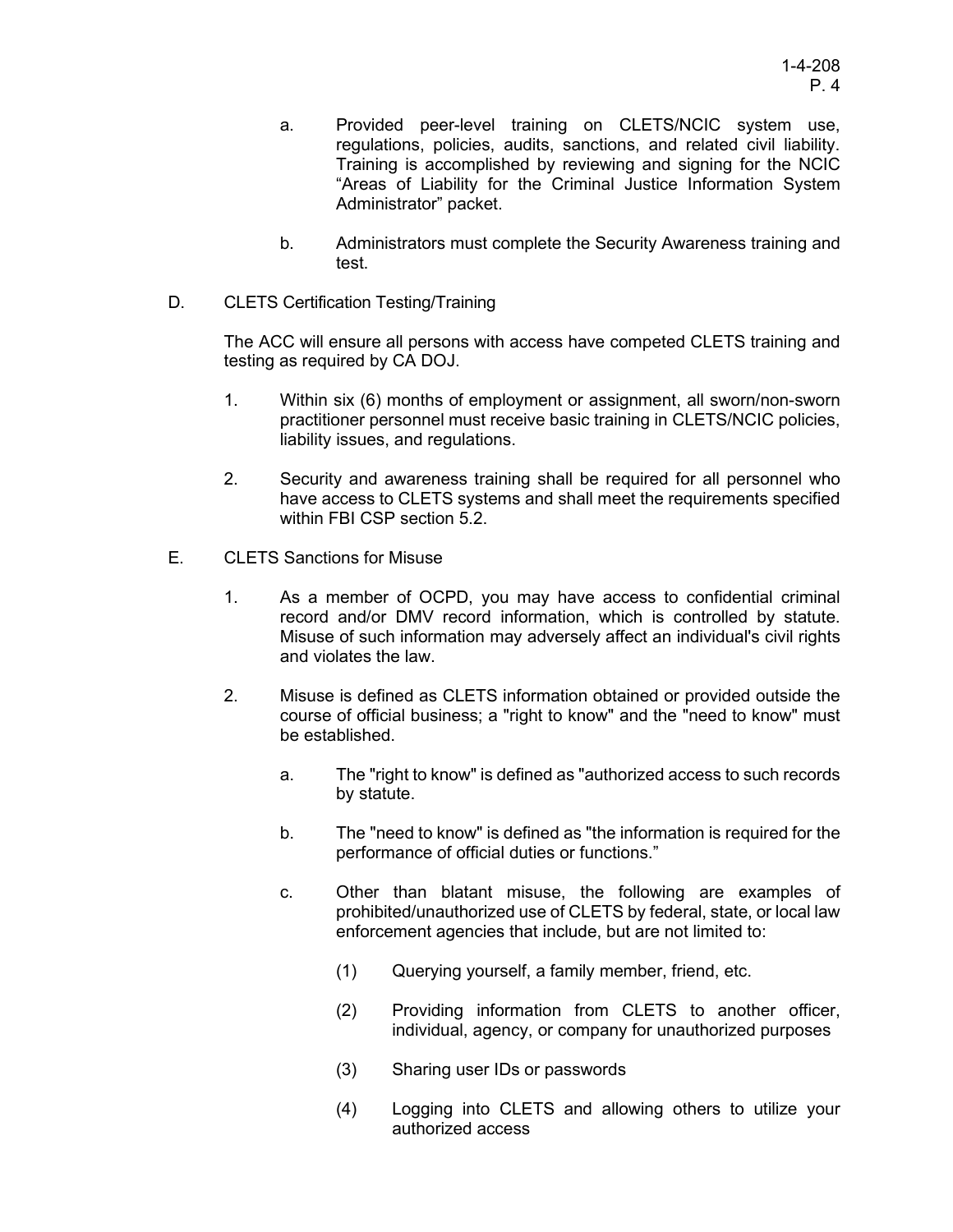- a. Provided peer-level training on CLETS/NCIC system use, regulations, policies, audits, sanctions, and related civil liability. Training is accomplished by reviewing and signing for the NCIC "Areas of Liability for the Criminal Justice Information System Administrator" packet.
- b. Administrators must complete the Security Awareness training and test.
- D. CLETS Certification Testing/Training

The ACC will ensure all persons with access have competed CLETS training and testing as required by CA DOJ.

- 1. Within six (6) months of employment or assignment, all sworn/non-sworn practitioner personnel must receive basic training in CLETS/NCIC policies, liability issues, and regulations.
- 2. Security and awareness training shall be required for all personnel who have access to CLETS systems and shall meet the requirements specified within FBI CSP section 5.2.
- E. CLETS Sanctions for Misuse
	- 1. As a member of OCPD, you may have access to confidential criminal record and/or DMV record information, which is controlled by statute. Misuse of such information may adversely affect an individual's civil rights and violates the law.
	- 2. Misuse is defined as CLETS information obtained or provided outside the course of official business; a "right to know" and the "need to know" must be established.
		- a. The "right to know" is defined as "authorized access to such records by statute.
		- b. The "need to know" is defined as "the information is required for the performance of official duties or functions."
		- c. Other than blatant misuse, the following are examples of prohibited/unauthorized use of CLETS by federal, state, or local law enforcement agencies that include, but are not limited to:
			- (1) Querying yourself, a family member, friend, etc.
			- (2) Providing information from CLETS to another officer, individual, agency, or company for unauthorized purposes
			- (3) Sharing user IDs or passwords
			- (4) Logging into CLETS and allowing others to utilize your authorized access